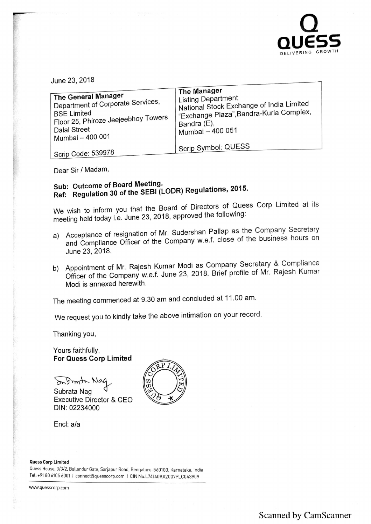

June 23, 2018

| The General Manager<br>Department of Corporate Services,<br><b>BSE Limited</b><br>' Floor 25, Phiroze Jeejeebhoy Towers<br>Dalal Street<br>' Mumbai - 400 001 | <b>The Manager</b><br>Listing Department<br>National Stock Exchange of India Limited<br>"Exchange Plaza", Bandra-Kurla Complex,<br>Bandra (E),<br>Mumbai - 400 051<br>Scrip Symbol: QUESS |
|---------------------------------------------------------------------------------------------------------------------------------------------------------------|-------------------------------------------------------------------------------------------------------------------------------------------------------------------------------------------|
| Scrip Code: 539978                                                                                                                                            |                                                                                                                                                                                           |

Dear Sir/ Madam,

## Sub: Outcome of Board Meeting.<br>Ref: Regulation 30 of the SEBI (LODR) Regulations, 2015.

We wish to inform you that the Board of Directors of Quess Corp Limited at its meeting held today i.e. June 23, 2018, approved the following:

- a) Acceptance of resignation of Mr. Sudershan Pallap as the Company Secretary and Compliance Officer of the Company w.e.f. close of the business hours on June 23,2018.
- b) Appointment of Mr. Rajesh Kumar Modi as Company Secretary & Compliance Officer of the Company w.e.f. June 23, 2018. Brief profile of Mr. Rajesh Kumar Modi is annexed herewith.

The meeting commenced at 9.30 am and concluded at 11.00 am.

We request you to kindly take the above intimation on your record.

Thanking you,

Yours faithfully, For Quess Corp Limited

Infinite Nac

Subrata Nag Executive Director & CEO DIN: 02234000

Encl: a/a

**Quess Corp Limited**<br>Quess House, 3/3/2, Bellandur Gate, Sarjapur Road, Bengaluru-560103, Karnataka, India uuess House, 3/3/2, Bellandur Gate, Sarjapur Road, Bengaluru-560103, Karnataka, India<br>Tel: +91 80 6105 6001 l connect@quesscorp.com l CIN No.L74140KA2007PLC043909

www.quesscorp.com